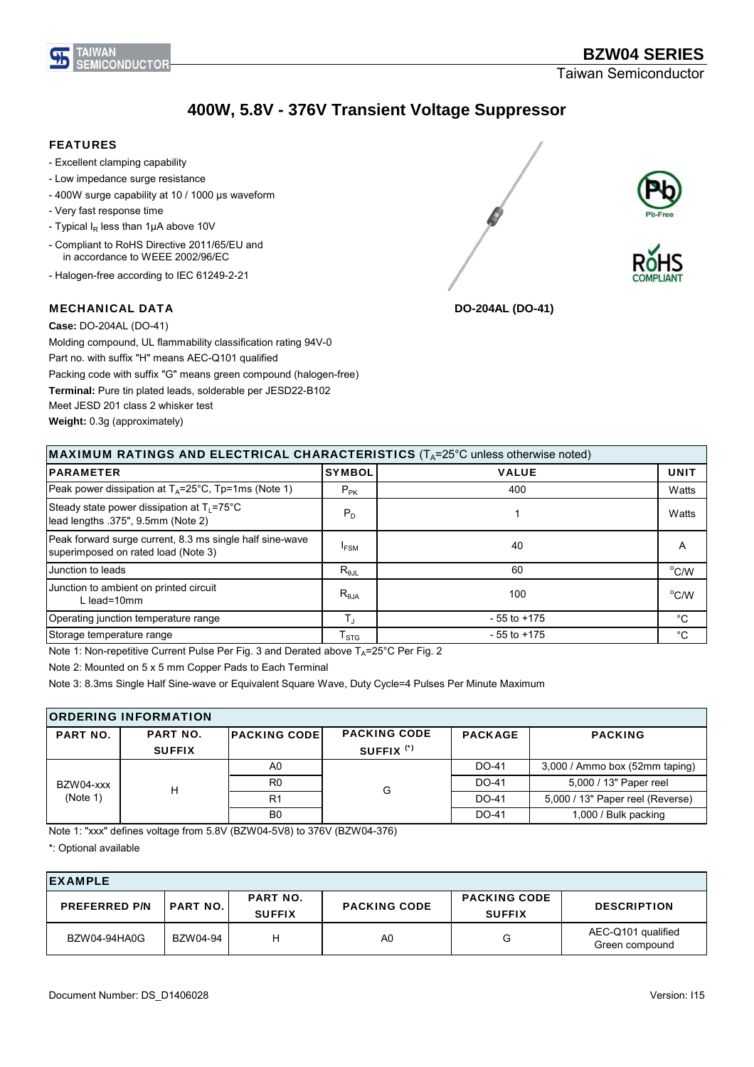

## **400W, 5.8V - 376V Transient Voltage Suppressor**

### FEATURES

- Excellent clamping capability
- Low impedance surge resistance
- 400W surge capability at 10 / 1000 μs waveform
- Very fast response time
- Typical  $I_R$  less than 1µA above 10V
- Compliant to RoHS Directive 2011/65/EU and in accordance to WEEE 2002/96/EC
- Halogen-free according to IEC 61249-2-21

#### MECHANICAL DATA

**Case:** DO-204AL (DO-41)

Molding compound, UL flammability classification rating 94V-0 Part no. with suffix "H" means AEC-Q101 qualified Packing code with suffix "G" means green compound (halogen-free) **Terminal:** Pure tin plated leads, solderable per JESD22-B102 Meet JESD 201 class 2 whisker test **Weight:** 0.3g (approximately)



**DO-204AL (DO-41)**

| <b>MAXIMUM RATINGS AND ELECTRICAL CHARACTERISTICS</b> ( $T_A$ =25°C unless otherwise noted)     |                 |                 |                |  |  |
|-------------------------------------------------------------------------------------------------|-----------------|-----------------|----------------|--|--|
| <b>IPARAMETER</b>                                                                               | <b>SYMBOL</b>   | <b>VALUE</b>    | <b>UNIT</b>    |  |  |
| Peak power dissipation at $T_A = 25^{\circ}$ C, Tp=1ms (Note 1)                                 | $P_{PK}$        | 400             | Watts          |  |  |
| Steady state power dissipation at $T_1 = 75^{\circ}$ C<br>lead lengths .375", 9.5mm (Note 2)    | $P_D$           |                 | Watts          |  |  |
| Peak forward surge current, 8.3 ms single half sine-wave<br>superimposed on rated load (Note 3) | <b>IFSM</b>     | 40              | A              |  |  |
| Junction to leads                                                                               | $R_{\theta JL}$ | 60              | °C/W           |  |  |
| Junction to ambient on printed circuit<br>L lead=10mm                                           | $R_{\theta$ JA  | 100             | $^{\circ}$ C/W |  |  |
| Operating junction temperature range                                                            | T,              | $-55$ to $+175$ | $^{\circ}C$    |  |  |
| Storage temperature range                                                                       | ${\tt T_{STG}}$ | $-55$ to $+175$ | $^{\circ}C$    |  |  |

Note 1: Non-repetitive Current Pulse Per Fig. 3 and Derated above  $T_A = 25^{\circ}$ C Per Fig. 2

Note 2: Mounted on 5 x 5 mm Copper Pads to Each Terminal

Note 3: 8.3ms Single Half Sine-wave or Equivalent Square Wave, Duty Cycle=4 Pulses Per Minute Maximum

| <b>ORDERING INFORMATION</b> |                 |                     |                       |                |                                  |  |
|-----------------------------|-----------------|---------------------|-----------------------|----------------|----------------------------------|--|
| <b>PART NO.</b>             | <b>PART NO.</b> | <b>PACKING CODE</b> | <b>PACKING CODE</b>   | <b>PACKAGE</b> | <b>PACKING</b>                   |  |
|                             | <b>SUFFIX</b>   |                     | SUFFIX <sup>(*)</sup> |                |                                  |  |
| BZW04-xxx<br>(Note 1)       | Н               | A0                  | G                     | DO-41          | 3,000 / Ammo box (52mm taping)   |  |
|                             |                 | R <sub>0</sub>      |                       | DO-41          | 5,000 / 13" Paper reel           |  |
|                             |                 | R <sub>1</sub>      |                       | DO-41          | 5,000 / 13" Paper reel (Reverse) |  |
|                             |                 | B <sub>0</sub>      |                       | DO-41          | 1,000 / Bulk packing             |  |

Note 1: "xxx" defines voltage from 5.8V (BZW04-5V8) to 376V (BZW04-376)

\*: Optional available

| <b>IEXAMPLE</b>      |                 |                                  |                     |                                      |                                      |  |
|----------------------|-----------------|----------------------------------|---------------------|--------------------------------------|--------------------------------------|--|
| <b>PREFERRED P/N</b> | <b>PART NO.</b> | <b>PART NO.</b><br><b>SUFFIX</b> | <b>PACKING CODE</b> | <b>PACKING CODE</b><br><b>SUFFIX</b> | <b>DESCRIPTION</b>                   |  |
| BZW04-94HA0G         | BZW04-94        | н                                | A0                  | G                                    | AEC-Q101 qualified<br>Green compound |  |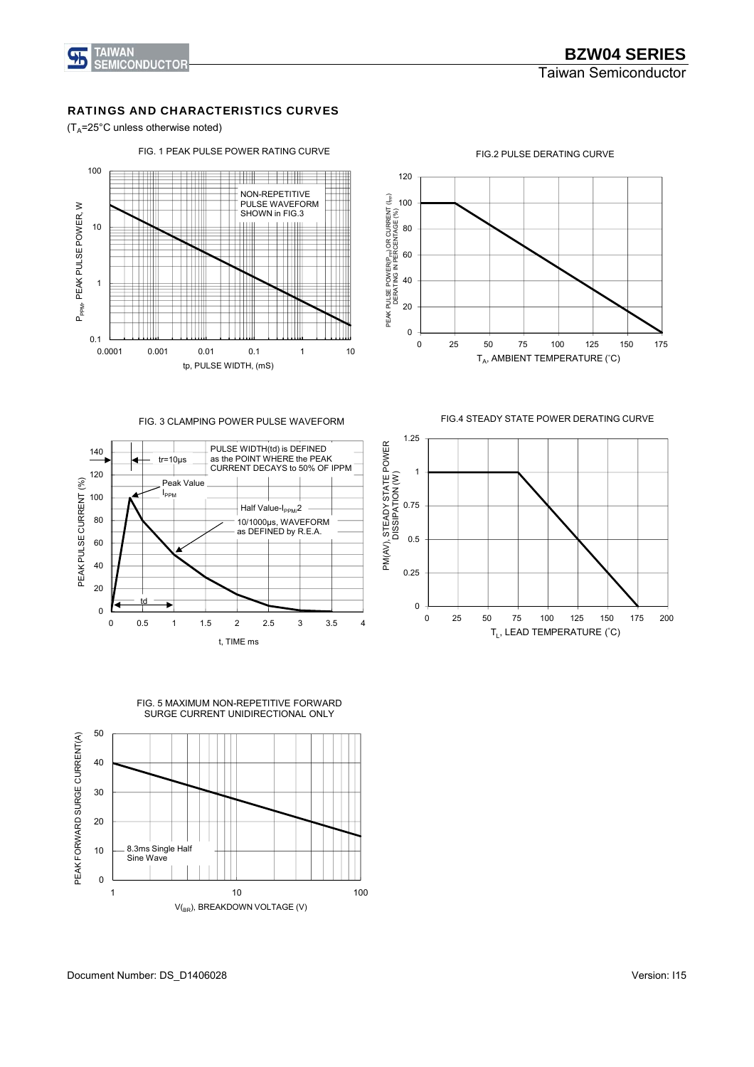

## RATINGS AND CHARACTERISTICS CURVES

 $(T_A=25^{\circ}C$  unless otherwise noted)



FIG.2 PULSE DERATING CURVE



FIG. 3 CLAMPING POWER PULSE WAVEFORM



FIG.4 STEADY STATE POWER DERATING CURVE





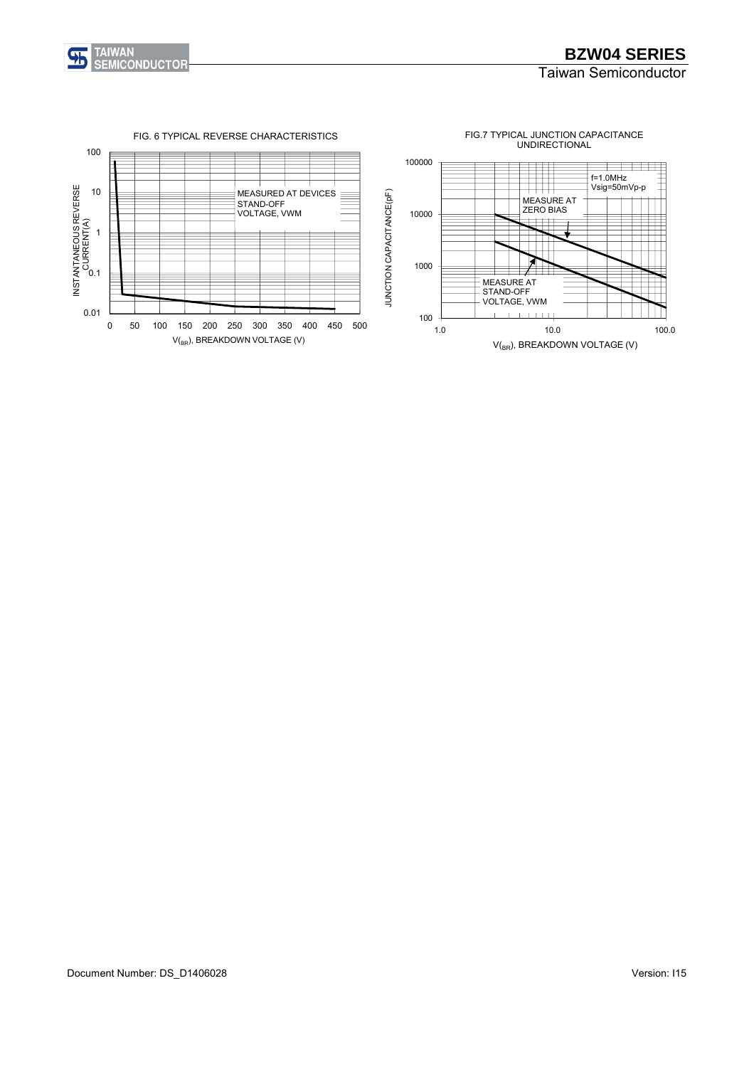

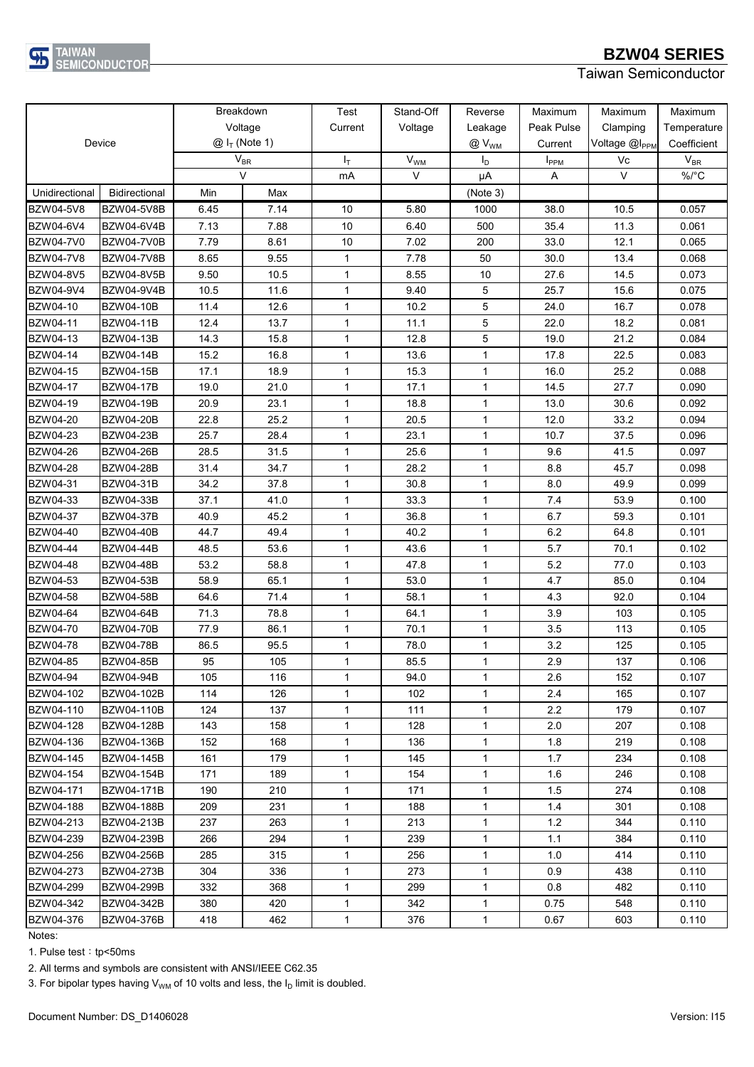

1. Pulse test: tp<50ms

2. All terms and symbols are consistent with ANSI/IEEE C62.35

3. For bipolar types having  $V_{WM}$  of 10 volts and less, the  $I_D$  limit is doubled.

## **BZW04 SERIES**

## Taiwan Semiconductor

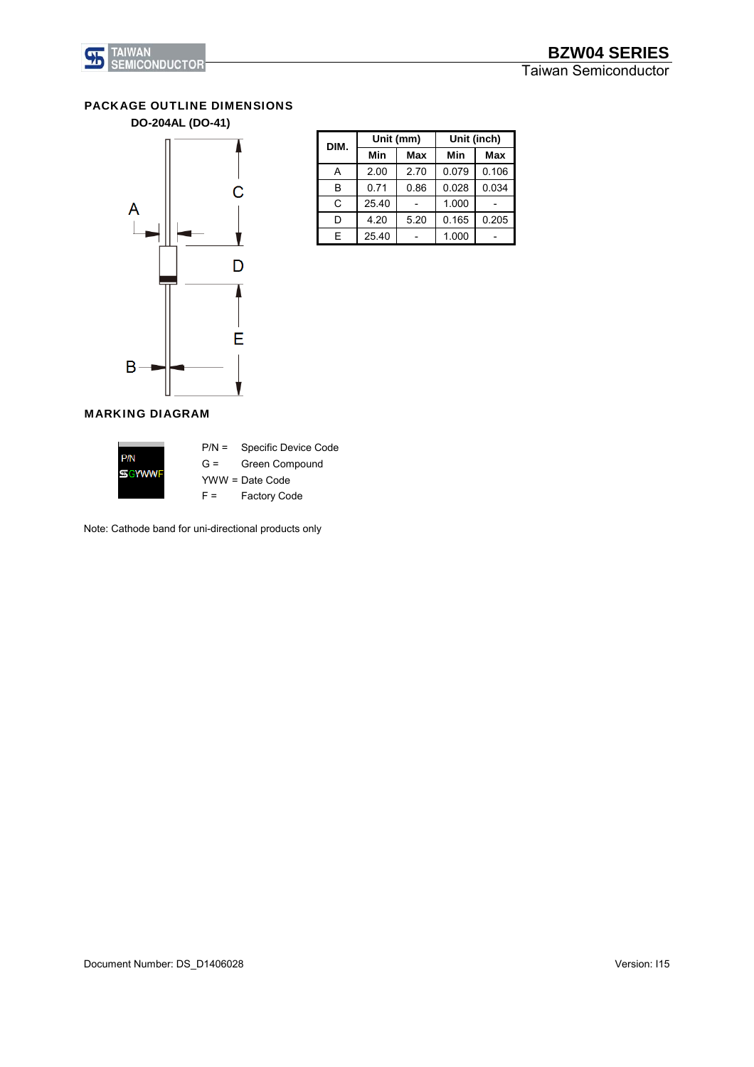

## PACKAGE OUTLINE DIMENSIONS

**DO-204AL (DO-41)**



| DIM. |       | Unit (mm) | Unit (inch) |            |  |
|------|-------|-----------|-------------|------------|--|
|      | Min   | Max       | Min         | <b>Max</b> |  |
| А    | 2.00  | 2.70      | 0.079       | 0.106      |  |
| B    | 0.71  | 0.86      | 0.028       | 0.034      |  |
| C    | 25.40 |           | 1.000       |            |  |
| D    | 4.20  | 5.20      | 0.165       | 0.205      |  |
| F    | 25.40 |           | 1.000       |            |  |

## MARKING DIAGRAM



P/N = Specific Device Code G = Green Compound YWW = Date Code F = Factory Code

Note: Cathode band for uni-directional products only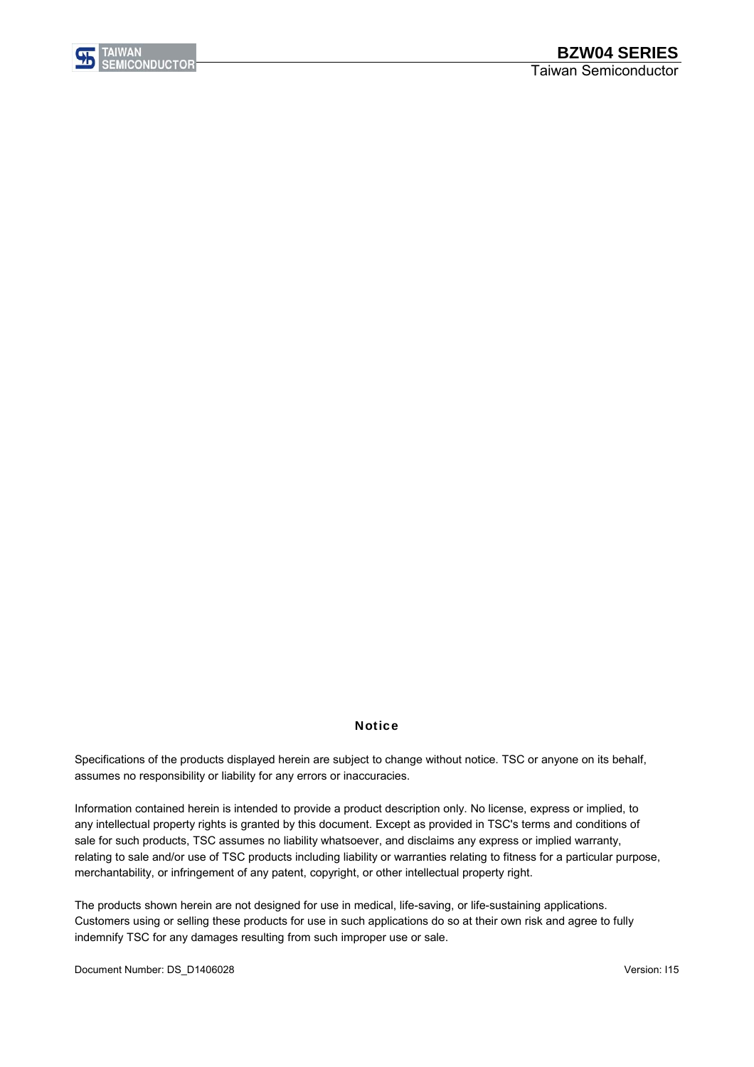

#### **Notice**

assumes no responsibility or liability for any errors or inaccuracies. Specifications of the products displayed herein are subject to change without notice. TSC or anyone on its behalf,

Information contained herein is intended to provide a product description only. No license, express or implied, to any intellectual property rights is granted by this document. Except as provided in TSC's terms and conditions of sale for such products, TSC assumes no liability whatsoever, and disclaims any express or implied warranty, relating to sale and/or use of TSC products including liability or warranties relating to fitness for a particular purpose, merchantability, or infringement of any patent, copyright, or other intellectual property right.

The products shown herein are not designed for use in medical, life-saving, or life-sustaining applications. Customers using or selling these products for use in such applications do so at their own risk and agree to fully indemnify TSC for any damages resulting from such improper use or sale.